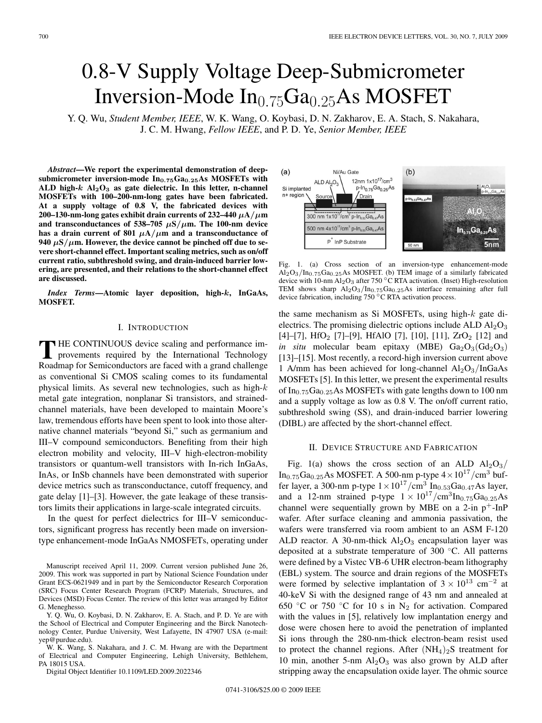# 0.8-V Supply Voltage Deep-Submicrometer Inversion-Mode  $In_{0.75}Ga_{0.25}As$  MOSFET

Y. Q. Wu, *Student Member, IEEE*, W. K. Wang, O. Koybasi, D. N. Zakharov, E. A. Stach, S. Nakahara, J. C. M. Hwang, *Fellow IEEE*, and P. D. Ye, *Senior Member, IEEE*

*Abstract***—We report the experimental demonstration of deepsubmicrometer inversion-mode In0***.***75Ga0***.***25As MOSFETs with** ALD high- $k$  Al<sub>2</sub>O<sub>3</sub> as gate dielectric. In this letter, n-channel **MOSFETs with 100–200-nm-long gates have been fabricated. At a supply voltage of 0.8 V, the fabricated devices with 200–130-nm-long gates exhibit drain currents of 232–440**  $\mu$ **A/** $\mu$ **m and transconductances of 538–705** *μ***S***/μ***m. The 100-nm device has a drain current of 801**  $\mu$ **A**/ $\mu$ **m** and a transconductance of **940**  $\mu$ S/ $\mu$ m. However, the device cannot be pinched off due to se**vere short-channel effect. Important scaling metrics, such as on/off current ratio, subthreshold swing, and drain-induced barrier lowering, are presented, and their relations to the short-channel effect are discussed.**

*Index Terms***—Atomic layer deposition, high-***k***, InGaAs, MOSFET.**

## I. INTRODUCTION

THE CONTINUOUS device scaling and performance im-<br>provements required by the International Technology Roadmap for Semiconductors are faced with a grand challenge as conventional Si CMOS scaling comes to its fundamental physical limits. As several new technologies, such as high- $k$ metal gate integration, nonplanar Si transistors, and strainedchannel materials, have been developed to maintain Moore's law, tremendous efforts have been spent to look into those alternative channel materials "beyond Si," such as germanium and III–V compound semiconductors. Benefiting from their high electron mobility and velocity, III–V high-electron-mobility transistors or quantum-well transistors with In-rich InGaAs, InAs, or InSb channels have been demonstrated with superior device metrics such as transconductance, cutoff frequency, and gate delay [1]–[3]. However, the gate leakage of these transistors limits their applications in large-scale integrated circuits.

In the quest for perfect dielectrics for III–V semiconductors, significant progress has recently been made on inversiontype enhancement-mode InGaAs NMOSFETs, operating under

Manuscript received April 11, 2009. Current version published June 26, 2009. This work was supported in part by National Science Foundation under Grant ECS-0621949 and in part by the Semiconductor Research Corporation (SRC) Focus Center Research Program (FCRP) Materials, Structures, and Devices (MSD) Focus Center. The review of this letter was arranged by Editor G. Meneghesso.

Y. Q. Wu, O. Koybasi, D. N. Zakharov, E. A. Stach, and P. D. Ye are with the School of Electrical and Computer Engineering and the Birck Nanotechnology Center, Purdue University, West Lafayette, IN 47907 USA (e-mail: yep@purdue.edu).

W. K. Wang, S. Nakahara, and J. C. M. Hwang are with the Department of Electrical and Computer Engineering, Lehigh University, Bethlehem, PA 18015 USA.

Digital Object Identifier 10.1109/LED.2009.2022346



Fig. 1. (a) Cross section of an inversion-type enhancement-mode  $Al_2O_3/In_{0.75}Ga_{0.25}As MOSFET.$  (b) TEM image of a similarly fabricated device with 10-nm Al<sub>2</sub>O<sub>3</sub> after 750 °C RTA activation. (Inset) High-resolution TEM shows sharp  $Al_2O_3/In_{0.75}Ga_{0.25}As$  interface remaining after full device fabrication, including 750 ◦C RTA activation process.

the same mechanism as Si MOSFETs, using high-k gate dielectrics. The promising dielectric options include ALD  $Al_2O_3$ [4]–[7], HfO<sub>2</sub> [7]–[9], HfAlO [7], [10], [11],  $ZrO<sub>2</sub>$  [12] and *in situ* molecular beam epitaxy (MBE)  $Ga_2O_3(Gd_2O_3)$ [13]–[15]. Most recently, a record-high inversion current above 1 A/mm has been achieved for long-channel  $Al_2O_3/InGaAs$ MOSFETs [5]. In this letter, we present the experimental results of  $In_{0.75}Ga_{0.25}As MOSFETs with gate lengths down to 100 nm$ and a supply voltage as low as 0.8 V. The on/off current ratio, subthreshold swing (SS), and drain-induced barrier lowering (DIBL) are affected by the short-channel effect.

### II. DEVICE STRUCTURE AND FABRICATION

Fig. 1(a) shows the cross section of an ALD  $Al_2O_3/$ In<sub>0.75</sub>Ga<sub>0.25</sub>As MOSFET. A 500-nm p-type  $4 \times 10^{17}$ /cm<sup>3</sup> buffer layer, a 300-nm p-type  $1 \times 10^{17} / \text{cm}^3 \text{ In}_{0.53}\text{Ga}_{0.47}\text{As layer}$ , and a 12-nm strained p-type  $1 \times 10^{17} / \text{cm}^3 \text{In}_{0.75} \text{Ga}_{0.25}$ As channel were sequentially grown by MBE on a 2-in  $p^+$ -InP wafer. After surface cleaning and ammonia passivation, the wafers were transferred via room ambient to an ASM F-120 ALD reactor. A 30-nm-thick  $Al_2O_3$  encapsulation layer was deposited at a substrate temperature of 300 ◦C. All patterns were defined by a Vistec VB-6 UHR electron-beam lithography (EBL) system. The source and drain regions of the MOSFETs were formed by selective implantation of  $3 \times 10^{13}$  cm<sup>-2</sup> at 40-keV Si with the designed range of 43 nm and annealed at 650 °C or 750 °C for 10 s in  $N_2$  for activation. Compared with the values in [5], relatively low implantation energy and dose were chosen here to avoid the penetration of implanted Si ions through the 280-nm-thick electron-beam resist used to protect the channel regions. After  $(NH_4)_2S$  treatment for 10 min, another 5-nm  $Al_2O_3$  was also grown by ALD after stripping away the encapsulation oxide layer. The ohmic source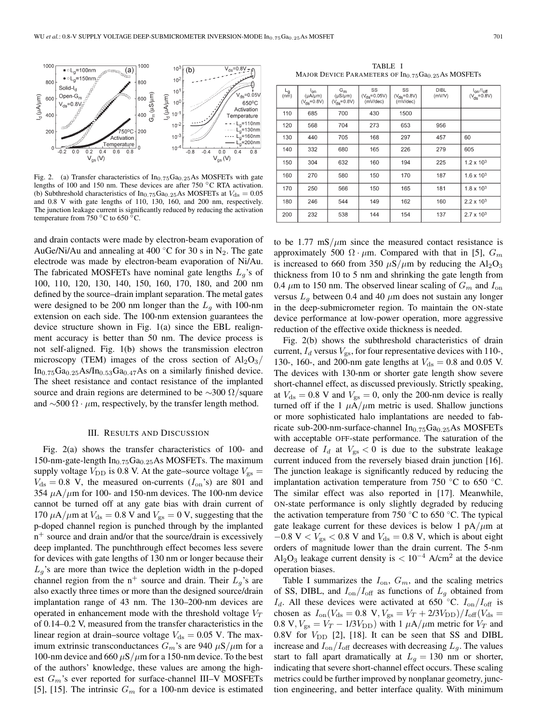

Fig. 2. (a) Transfer characteristics of  $In_{0.75}Ga_{0.25}As$  MOSFETs with gate lengths of 100 and 150 nm. These devices are after 750 ◦C RTA activation. (b) Subthreshold characteristics of In<sub>0.75</sub>Ga<sub>0.25</sub>As MOSFETs at  $V_{\rm ds} = 0.05$ and 0.8 V with gate lengths of 110, 130, 160, and 200 nm, respectively. The junction leakage current is significantly reduced by reducing the activation temperature from 750  $\mathrm{^{\circ}C}$  to 650  $\mathrm{^{\circ}C}$ .

and drain contacts were made by electron-beam evaporation of AuGe/Ni/Au and annealing at 400 °C for 30 s in N<sub>2</sub>. The gate electrode was made by electron-beam evaporation of Ni/Au. The fabricated MOSFETs have nominal gate lengths  $L_q$ 's of 100, 110, 120, 130, 140, 150, 160, 170, 180, and 200 nm defined by the source–drain implant separation. The metal gates were designed to be 200 nm longer than the  $L_q$  with 100-nm extension on each side. The 100-nm extension guarantees the device structure shown in Fig. 1(a) since the EBL realignment accuracy is better than 50 nm. The device process is not self-aligned. Fig. 1(b) shows the transmission electron microscopy (TEM) images of the cross section of  $Al_2O_3/$  $In_{0.75}Ga_{0.25}As/In_{0.53}Ga_{0.47}As$  on a similarly finished device. The sheet resistance and contact resistance of the implanted source and drain regions are determined to be  $\sim$ 300  $\Omega$ /square and  $\sim$ 500  $\Omega \cdot \mu$ m, respectively, by the transfer length method.

#### III. RESULTS AND DISCUSSION

Fig. 2(a) shows the transfer characteristics of 100- and 150-nm-gate-length  $In_{0.75}Ga_{0.25}As MOSFETs.$  The maximum supply voltage  $V_{\text{DD}}$  is 0.8 V. At the gate–source voltage  $V_{\text{gs}} =$  $V_{\text{ds}} = 0.8$  V, the measured on-currents  $(I_{\text{on}}^{\circ s})$  are 801 and 354  $\mu$ A/ $\mu$ m for 100- and 150-nm devices. The 100-nm device cannot be turned off at any gate bias with drain current of 170  $\mu$ A/ $\mu$ m at  $V_{ds} = 0.8$  V and  $V_{gs} = 0$  V, suggesting that the p-doped channel region is punched through by the implanted  $n^+$  source and drain and/or that the source/drain is excessively deep implanted. The punchthrough effect becomes less severe for devices with gate lengths of 130 nm or longer because their  $L_q$ 's are more than twice the depletion width in the p-doped channel region from the  $n^+$  source and drain. Their  $L_q$ 's are also exactly three times or more than the designed source/drain implantation range of 43 nm. The 130–200-nm devices are operated in enhancement mode with the threshold voltage  $V_T$ of 0.14–0.2 V, measured from the transfer characteristics in the linear region at drain–source voltage  $V_{\text{ds}} = 0.05$  V. The maximum extrinsic transconductances  $G_m$ 's are 940  $\mu$ S/ $\mu$ m for a 100-nm device and 660  $\mu$ S/ $\mu$ m for a 150-nm device. To the best of the authors' knowledge, these values are among the highest  $G_m$ 's ever reported for surface-channel III–V MOSFETs [5], [15]. The intrinsic  $G_m$  for a 100-nm device is estimated

TABLE I MAJOR DEVICE PARAMETERS OF  $In_{0.75}Ga_{0.25}As$  MOSFETs

| Lg<br>(nm) | l <sub>on</sub><br>$(\mu A/\mu m)$<br>$(V_{\text{de}} = 0.8V)$ | $G_m$<br>$(\mu S/\mu m)$<br>$(V_{\text{ds}} = 0.8V)$ | SS<br>$(V_{ds} = 0.05V)$<br>(mV/dec) | SS<br>$(V_{ds} = 0.8V)$<br>(mV/dec) | <b>DIBL</b><br>(mV/V) | $I_{on}/I_{off}$<br>$(V_{ds} = 0.8V)$ |
|------------|----------------------------------------------------------------|------------------------------------------------------|--------------------------------------|-------------------------------------|-----------------------|---------------------------------------|
| 110        | 685                                                            | 700                                                  | 430                                  | 1500                                |                       |                                       |
| 120        | 568                                                            | 704                                                  | 273                                  | 653                                 | 956                   |                                       |
| 130        | 440                                                            | 705                                                  | 168                                  | 297                                 | 457                   | 60                                    |
| 140        | 332                                                            | 680                                                  | 165                                  | 226                                 | 279                   | 605                                   |
| 150        | 304                                                            | 632                                                  | 160                                  | 194                                 | 225                   | $1.2 \times 10^{3}$                   |
| 160        | 270                                                            | 580                                                  | 150                                  | 170                                 | 187                   | $1.6 \times 10^{3}$                   |
| 170        | 250                                                            | 566                                                  | 150                                  | 165                                 | 181                   | $1.8 \times 10^{3}$                   |
| 180        | 246                                                            | 544                                                  | 149                                  | 162                                 | 160                   | $2.2 \times 10^{3}$                   |
| 200        | 232                                                            | 538                                                  | 144                                  | 154                                 | 137                   | $2.7 \times 10^{3}$                   |

to be  $1.77 \text{ mS}/\mu\text{m}$  since the measured contact resistance is approximately 500 Ω · μm. Compared with that in [5],  $G_m$ is increased to 660 from 350  $\mu$ S/ $\mu$ m by reducing the Al<sub>2</sub>O<sub>3</sub> thickness from 10 to 5 nm and shrinking the gate length from 0.4  $\mu$ m to 150 nm. The observed linear scaling of  $G_m$  and  $I_{on}$ versus  $L_q$  between 0.4 and 40  $\mu$ m does not sustain any longer in the deep-submicrometer region. To maintain the ON-state device performance at low-power operation, more aggressive reduction of the effective oxide thickness is needed.

Fig. 2(b) shows the subthreshold characteristics of drain current,  $I_d$  versus  $V_{gs}$ , for four representative devices with 110-, 130-, 160-, and 200-nm gate lengths at  $V_{ds} = 0.8$  and 0.05 V. The devices with 130-nm or shorter gate length show severe short-channel effect, as discussed previously. Strictly speaking, at  $V_{\text{ds}} = 0.8$  V and  $V_{\text{gs}} = 0$ , only the 200-nm device is really turned off if the 1  $\mu A/\mu m$  metric is used. Shallow junctions or more sophisticated halo implantations are needed to fabricate sub-200-nm-surface-channel  $In_{0.75}Ga_{0.25}As$  MOSFETs with acceptable OFF-state performance. The saturation of the decrease of  $I_d$  at  $V_{gs} < 0$  is due to the substrate leakage current induced from the reversely biased drain junction [16]. The junction leakage is significantly reduced by reducing the implantation activation temperature from 750  $\degree$ C to 650  $\degree$ C. The similar effect was also reported in [17]. Meanwhile, ON-state performance is only slightly degraded by reducing the activation temperature from 750  $\degree$ C to 650  $\degree$ C. The typical gate leakage current for these devices is below 1  $pA/\mu m$  at  $-0.8$  V <  $V_{gs}$  < 0.8 V and  $V_{ds}$  = 0.8 V, which is about eight orders of magnitude lower than the drain current. The 5-nm Al<sub>2</sub>O<sub>3</sub> leakage current density is  $< 10^{-4}$  A/cm<sup>2</sup> at the device operation biases.

Table I summarizes the  $I_{on}$ ,  $G_m$ , and the scaling metrics of SS, DIBL, and  $I_{on}/I_{off}$  as functions of  $L_g$  obtained from  $I_d$ . All these devices were activated at 650 °C.  $I_{on}/I_{off}$  is chosen as  $I_{on}(V_{ds} = 0.8 \text{ V}, V_{gs} = V_T + 2/3V_{DD})/I_{off}(V_{ds} =$ 0.8 V,  $V_{\rm gs} = V_T - 1/3V_{\rm DD}$ ) with 1  $\mu$ A/ $\mu$ m metric for  $V_T$  and 0.8V for  $V_{\text{DD}}$  [2], [18]. It can be seen that SS and DIBL increase and  $I_{on}/I_{off}$  decreases with decreasing  $L_g$ . The values start to fall apart dramatically at  $L_g = 130$  nm or shorter, indicating that severe short-channel effect occurs. These scaling metrics could be further improved by nonplanar geometry, junction engineering, and better interface quality. With minimum